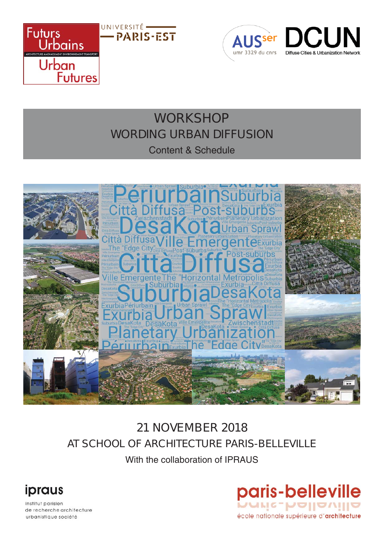



## **WORKSHOP** WORDING URBAN DIFFUSION Content & Schedule



# **21 NOVEMBER 2018** AT SCHOOL OF ARCHITECTURE PARIS-BELLEVILLE

With the collaboration of IPRAUS



institut parisien de recherche architecture urbanistique société

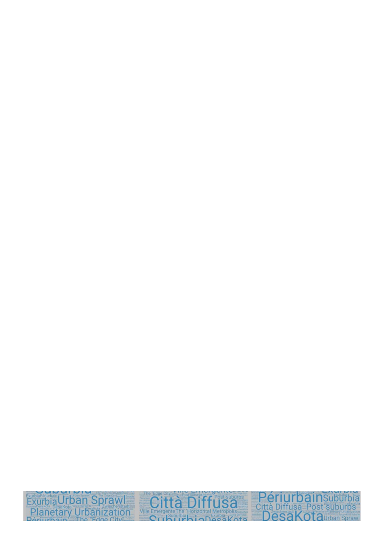



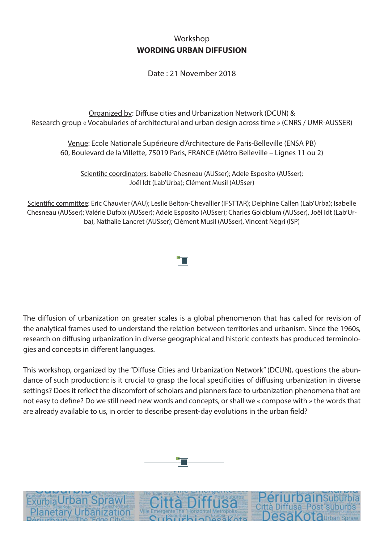Date : 21 November 2018

Organized by: Diffuse cities and Urbanization Network (DCUN) & Research group « Vocabularies of architectural and urban design across time » (CNRS / UMR-AUSSER)

Venue: Ecole Nationale Supérieure d'Architecture de Paris-Belleville (ENSA PB) 60, Boulevard de la Villette, 75019 Paris, FRANCE (Métro Belleville – Lignes 11 ou 2)

Scientific coordinators: Isabelle Chesneau (AUSser): Adele Esposito (AUSser): Joël Idt (Lab'Urba); Clément Musil (AUSser)

Scientific committee: Eric Chauvier (AAU); Leslie Belton-Chevallier (IFSTTAR); Delphine Callen (Lab'Urba); Isabelle Chesneau (AUSser); Valérie Dufoix (AUSser); Adele Esposito (AUSser); Charles Goldblum (AUSser), Joël Idt (Lab'Urba), Nathalie Lancret (AUSser); Clément Musil (AUSser), Vincent Négri (ISP)



The diffusion of urbanization on greater scales is a global phenomenon that has called for revision of the analytical frames used to understand the relation between territories and urbanism. Since the 1960s, research on diffusing urbanization in diverse geographical and historic contexts has produced terminologies and concepts in different languages.

This workshop, organized by the "Diffuse Cities and Urbanization Network" (DCUN), questions the abundance of such production: is it crucial to grasp the local specificities of diffusing urbanization in diverse settings? Does it reflect the discomfort of scholars and planners face to urbanization phenomena that are not easy to define? Do we still need new words and concepts, or shall we « compose with » the words that are already available to us, in order to describe present-day evolutions in the urban field?



liffusa Post-suburbs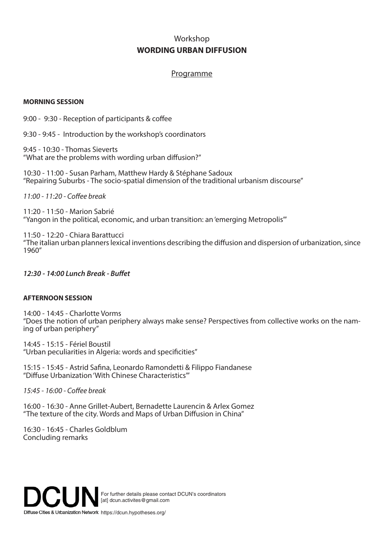## Programme

#### **MORNING SESSION**

9:00 - 9:30 - Reception of participants & coffee

9:30 - 9:45 - Introduction by the workshop's coordinators

9:45 - 10:30 - Thomas Sieverts "What are the problems with wording urban diffusion?"

10:30 - 11:00 - Susan Parham, Matthew Hardy & Stéphane Sadoux "Repairing Suburbs - The socio-spatial dimension of the traditional urbanism discourse"

 $11:00 - 11:20$  - Coffee break

11:20 - 11:50 - Marion Sabrié "Yangon in the political, economic, and urban transition: an 'emerging Metropolis'"

11:50 - 12:20 - Chiara Barattucci "The italian urban planners lexical inventions describing the diffusion and dispersion of urbanization, since 1960"

**12:30 - 14:00 Lunch Break - Buff et** 

#### **AFTERNOON SESSION**

14:00 - 14:45 - Charlotte Vorms "Does the notion of urban periphery always make sense? Perspectives from collective works on the naming of urban periphery"

14:45 - 15:15 - Fériel Boustil "Urban peculiarities in Algeria: words and specificities"

15:15 - 15:45 - Astrid Safina, Leonardo Ramondetti & Filippo Fiandanese "Diffuse Urbanization 'With Chinese Characteristics"

15:45 - 16:00 - Coffee break

16:00 - 16:30 - Anne Grillet-Aubert, Bernadette Laurencin & Arlex Gomez "The texture of the city. Words and Maps of Urban Diffusion in China"

16:30 - 16:45 - Charles Goldblum Concluding remarks

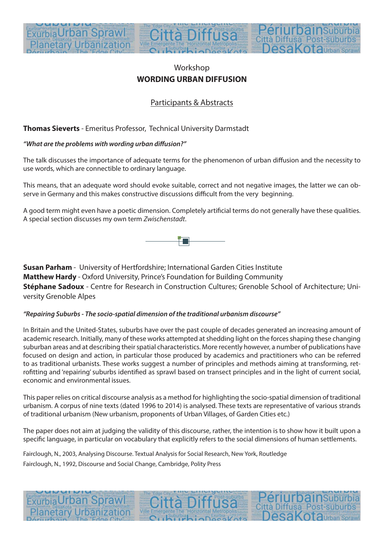Città Diffusa Post-su

## Participants & Abstracts

## **Thomas Sieverts** - Emeritus Professor, Technical University Darmstadt

#### "What are the problems with wording urban diffusion?"

**Exurbia Urban Spraw** 

**Planetary Urbanization** 

The talk discusses the importance of adequate terms for the phenomenon of urban diffusion and the necessity to use words, which are connectible to ordinary language.

This means, that an adequate word should evoke suitable, correct and not negative images, the latter we can observe in Germany and this makes constructive discussions difficult from the very beginning.

A good term might even have a poetic dimension. Completely artificial terms do not generally have these qualities. A special section discusses my own term Zwischenstadt.



**Susan Parham** - University of Hertfordshire; International Garden Cities Institute **Matthew Hardy** - Oxford University, Prince's Foundation for Building Community **Stéphane Sadoux** - Centre for Research in Construction Cultures; Grenoble School of Architecture; University Grenoble Alpes

## **"Repairing Suburbs - The socio-spatial dimension of the traditional urbanism discourse"**

In Britain and the United-States, suburbs have over the past couple of decades generated an increasing amount of academic research. Initially, many of these works attempted at shedding light on the forces shaping these changing suburban areas and at describing their spatial characteristics. More recently however, a number of publications have focused on design and action, in particular those produced by academics and practitioners who can be referred to as traditional urbanists. These works suggest a number of principles and methods aiming at transforming, retrofitting and 'repairing' suburbs identified as sprawl based on transect principles and in the light of current social, economic and environmental issues.

This paper relies on critical discourse analysis as a method for highlighting the socio-spatial dimension of traditional urbanism. A corpus of nine texts (dated 1996 to 2014) is analysed. These texts are representative of various strands of traditional urbanism (New urbanism, proponents of Urban Villages, of Garden Cities etc.)

The paper does not aim at judging the validity of this discourse, rather, the intention is to show how it built upon a specific language, in particular on vocabulary that explicitly refers to the social dimensions of human settlements.

Fairclough, N., 2003, Analysing Discourse. Textual Analysis for Social Research, New York, Routledge

Fairclough, N., 1992, Discourse and Social Change, Cambridge, Polity Press

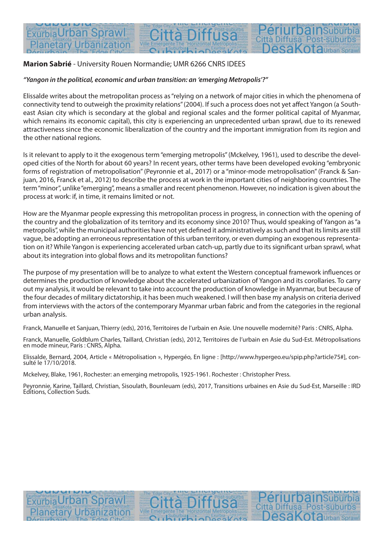## **Marion Sabrié** - University Rouen Normandie; UMR 6266 CNRS IDEES

## **"Yangon in the political, economic and urban transition: an 'emerging Metropolis'?"**

Elissalde writes about the metropolitan process as "relying on a network of major cities in which the phenomena of connectivity tend to outweigh the proximity relations" (2004). If such a process does not yet affect Yangon (a Southeast Asian city which is secondary at the global and regional scales and the former political capital of Myanmar, which remains its economic capital), this city is experiencing an unprecedented urban sprawl, due to its renewed attractiveness since the economic liberalization of the country and the important immigration from its region and the other national regions.

Is it relevant to apply to it the exogenous term "emerging metropolis" (Mckelvey, 1961), used to describe the developed cities of the North for about 60 years? In recent years, other terms have been developed evoking "embryonic forms of registration of metropolisation" (Peyronnie et al., 2017) or a "minor-mode metropolisation" (Franck & Sanjuan, 2016, Franck et al., 2012) to describe the process at work in the important cities of neighboring countries. The term "minor", unlike "emerging", means a smaller and recent phenomenon. However, no indication is given about the process at work: if, in time, it remains limited or not.

How are the Myanmar people expressing this metropolitan process in progress, in connection with the opening of the country and the globalization of its territory and its economy since 2010? Thus, would speaking of Yangon as "a metropolis", while the municipal authorities have not yet defined it administratively as such and that its limits are still vague, be adopting an erroneous representation of this urban territory, or even dumping an exogenous representation on it? While Yangon is experiencing accelerated urban catch-up, partly due to its significant urban sprawl, what about its integration into global flows and its metropolitan functions?

The purpose of my presentation will be to analyze to what extent the Western conceptual framework influences or determines the production of knowledge about the accelerated urbanization of Yangon and its corollaries. To carry out my analysis, it would be relevant to take into account the production of knowledge in Myanmar, but because of the four decades of military dictatorship, it has been much weakened. I will then base my analysis on criteria derived from interviews with the actors of the contemporary Myanmar urban fabric and from the categories in the regional urban analysis.

Franck, Manuelle et Sanjuan, Thierry (eds), 2016, Territoires de l'urbain en Asie. Une nouvelle modernité? Paris : CNRS, Alpha.

Franck, Manuelle, Goldblum Charles, Taillard, Christian (eds), 2012, Territoires de l'urbain en Asie du Sud-Est. Métropolisations en mode mineur, Paris : CNRS, Alpha.

Elissalde, Bernard, 2004, Article « Métropolisation », Hypergéo, En ligne : [http://www.hypergeo.eu/spip.php?article75#], consulté le 17/10/2018.

Mckelvey, Blake, 1961, Rochester: an emerging metropolis, 1925-1961. Rochester : Christopher Press.

Peyronnie, Karine, Taillard, Christian, Sisoulath, Bounleuam (eds), 2017, Transitions urbaines en Asie du Sud-Est, Marseille : IRD Editions, Collection Suds.

Città Diffusa Pos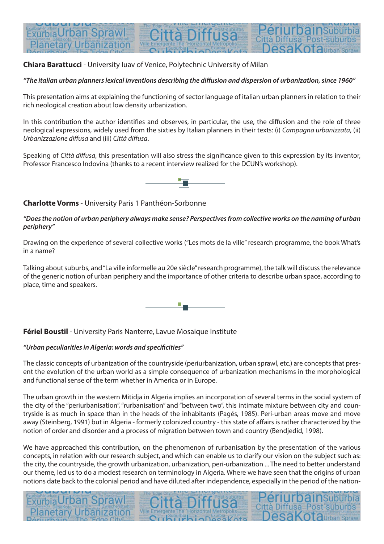## **Chiara Barattucci** - University Iuav of Venice, Polytechnic University of Milan

#### **"The italian urban planners lexical inventions describing the diff usion and dispersion of urbanization, since 1960"**

Città Diffusa Post-su

This presentation aims at explaining the functioning of sector language of italian urban planners in relation to their rich neological creation about low density urbanization.

In this contribution the author identifies and observes, in particular, the use, the diffusion and the role of three neological expressions, widely used from the sixties by Italian planners in their texts: (i) Campagna urbanizzata, (ii) Urbanizzazione diffusa and (iii) Città diffusa.

Speaking of Città diffusa, this presentation will also stress the significance given to this expression by its inventor, Professor Francesco Indovina (thanks to a recent interview realized for the DCUN's workshop).



## **Charlotte Vorms** - University Paris 1 Panthéon-Sorbonne

**ExurbiaUrban Spraw** 

Planetary U

#### **"Does the notion of urban periphery always make sense? Perspectives from collective works on the naming of urban periphery"**

Drawing on the experience of several collective works ("Les mots de la ville" research programme, the book What's in a name?

Talking about suburbs, and "La ville informelle au 20e siècle" research programme), the talk will discuss the relevance of the generic notion of urban periphery and the importance of other criteria to describe urban space, according to place, time and speakers.



## **Fériel Boustil** - University Paris Nanterre, Lavue Mosaique Institute

#### "Urban peculiarities in Algeria: words and specificities"

The classic concepts of urbanization of the countryside (periurbanization, urban sprawl, etc.) are concepts that present the evolution of the urban world as a simple consequence of urbanization mechanisms in the morphological and functional sense of the term whether in America or in Europe.

The urban growth in the western Mitidja in Algeria implies an incorporation of several terms in the social system of the city of the "periurbanisation", "rurbanisation" and "between two", this intimate mixture between city and countryside is as much in space than in the heads of the inhabitants (Pagés, 1985). Peri-urban areas move and move away (Steinberg, 1991) but in Algeria - formerly colonized country - this state of affairs is rather characterized by the notion of order and disorder and a process of migration between town and country (Bendjedid, 1998).

We have approached this contribution, on the phenomenon of rurbanisation by the presentation of the various concepts, in relation with our research subject, and which can enable us to clarify our vision on the subject such as: the city, the countryside, the growth urbanization, urbanization, peri-urbanization ... The need to better understand our theme, led us to do a modest research on terminology in Algeria. Where we have seen that the origins of urban notions date back to the colonial period and have diluted after independence, especially in the period of the nation-

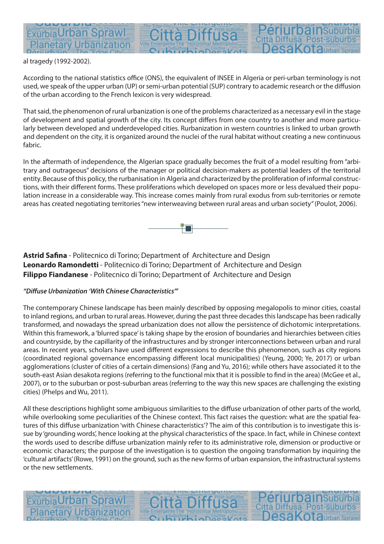## **ExurbiaUrban Spraw Planetary Urbanization**

al tragedy (1992-2002).

According to the national statistics office (ONS), the equivalent of INSEE in Algeria or peri-urban terminology is not used, we speak of the upper urban (UP) or semi-urban potential (SUP) contrary to academic research or the diffusion of the urban according to the French lexicon is very widespread.

Périurbainsubur

**Città Diffusa Post-suburbs** 

That said, the phenomenon of rural urbanization is one of the problems characterized as a necessary evil in the stage of development and spatial growth of the city. Its concept differs from one country to another and more particularly between developed and underdeveloped cities. Rurbanization in western countries is linked to urban growth and dependent on the city, it is organized around the nuclei of the rural habitat without creating a new continuous fabric.

In the aftermath of independence, the Algerian space gradually becomes the fruit of a model resulting from "arbitrary and outrageous" decisions of the manager or political decision-makers as potential leaders of the territorial entity. Because of this policy, the rurbanisation in Algeria and characterized by the proliferation of informal constructions, with their different forms. These proliferations which developed on spaces more or less devalued their population increase in a considerable way. This increase comes mainly from rural exodus from sub-territories or remote areas has created negotiating territories "new interweaving between rural areas and urban society" (Poulot, 2006).



Astrid Safina - Politecnico di Torino; Department of Architecture and Design **Leonardo Ramondetti** - Politecnico di Torino; Department of Architecture and Design **Filippo Fiandanese** - Politecnico di Torino; Department of Architecture and Design

## **"Diff use Urbanization 'With Chinese Characteristics'"**

xurbia Urban Spraw

**Planetary Urbanization** 

The contemporary Chinese landscape has been mainly described by opposing megalopolis to minor cities, coastal to inland regions, and urban to rural areas. However, during the past three decades this landscape has been radically transformed, and nowadays the spread urbanization does not allow the persistence of dichotomic interpretations. Within this framework, a 'blurred space' is taking shape by the erosion of boundaries and hierarchies between cities and countryside, by the capillarity of the infrastructures and by stronger interconnections between urban and rural areas. In recent years, scholars have used different expressions to describe this phenomenon, such as city regions (coordinated regional governance encompassing different local municipalities) (Yeung, 2000; Ye, 2017) or urban agglomerations (cluster of cities of a certain dimensions) (Fang and Yu, 2016); while others have associated it to the south-east Asian desakota regions (referring to the functional mix that it is possible to find in the area) (McGee et al., 2007), or to the suburban or post-suburban areas (referring to the way this new spaces are challenging the existing cities) (Phelps and Wu, 2011).

All these descriptions highlight some ambiguous similarities to the diffuse urbanization of other parts of the world, while overlooking some peculiarities of the Chinese context. This fact raises the question: what are the spatial features of this diffuse urbanization 'with Chinese characteristics'? The aim of this contribution is to investigate this issue by 'grounding words', hence looking at the physical characteristics of the space. In fact, while in Chinese context the words used to describe diffuse urbanization mainly refer to its administrative role, dimension or productive or economic characters; the purpose of the investigation is to question the ongoing transformation by inquiring the 'cultural artifacts' (Rowe, 1991) on the ground, such as the new forms of urban expansion, the infrastructural systems or the new settlements.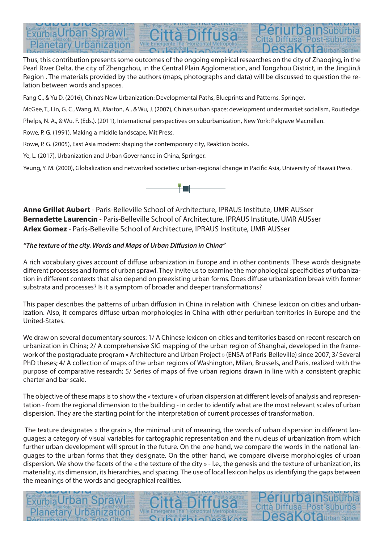## **ExurbiaUrban Spraw Città Diffusa Post-suburbs Planetary Urbanization**

Thus, this contribution presents some outcomes of the ongoing empirical researches on the city of Zhaoqing, in the Pearl River Delta, the city of Zhengzhou, in the Central Plain Agglomeration, and Tongzhou District, in the JingJinJi Region . The materials provided by the authors (maps, photographs and data) will be discussed to question the relation between words and spaces.

Fang C., & Yu D. (2016), China's New Urbanization: Developmental Paths, Blueprints and Patterns, Springer.

McGee, T., Lin, G. C., Wang, M., Marton, A., & Wu, J. (2007), China's urban space: development under market socialism, Routledge.

Phelps, N. A., & Wu, F. (Eds.). (2011), International perspectives on suburbanization, New York: Palgrave Macmillan.

Rowe, P. G. (1991), Making a middle landscape, Mit Press.

xurbiaUrban Spraw

**Planetary Urbanization** 

Rowe, P. G. (2005), East Asia modern: shaping the contemporary city, Reaktion books.

Ye, L. (2017), Urbanization and Urban Governance in China, Springer.

Yeung, Y. M. (2000), Globalization and networked societies: urban-regional change in Pacific Asia, University of Hawaii Press.

**Anne Grillet Aubert** - Paris-Belleville School of Architecture, IPRAUS Institute, UMR AUSser **Bernadette Laurencin** - Paris-Belleville School of Architecture, IPRAUS Institute, UMR AUSser **Arlex Gomez** - Paris-Belleville School of Architecture, IPRAUS Institute, UMR AUSser

#### **"The texture of the city. Words and Maps of Urban Diff usion in China"**

A rich vocabulary gives account of diffuse urbanization in Europe and in other continents. These words designate different processes and forms of urban sprawl. They invite us to examine the morphological specificities of urbanization in different contexts that also depend on preexisting urban forms. Does diffuse urbanization break with former substrata and processes? Is it a symptom of broader and deeper transformations?

This paper describes the patterns of urban diffusion in China in relation with Chinese lexicon on cities and urbanization. Also, it compares diffuse urban morphologies in China with other periurban territories in Europe and the United-States.

We draw on several documentary sources: 1/ A Chinese lexicon on cities and territories based on recent research on urbanization in China; 2/ A comprehensive SIG mapping of the urban region of Shanghai, developed in the framework of the postgraduate program « Architecture and Urban Project » (ENSA of Paris-Belleville) since 2007; 3/ Several PhD theses; 4/ A collection of maps of the urban regions of Washington, Milan, Brussels, and Paris, realized with the purpose of comparative research; 5/ Series of maps of five urban regions drawn in line with a consistent graphic charter and bar scale.

The objective of these maps is to show the « texture » of urban dispersion at different levels of analysis and representation - from the regional dimension to the building - in order to identify what are the most relevant scales of urban dispersion. They are the starting point for the interpretation of current processes of transformation.

The texture designates « the grain », the minimal unit of meaning, the words of urban dispersion in different languages; a category of visual variables for cartographic representation and the nucleus of urbanization from which further urban development will sprout in the future. On the one hand, we compare the words in the national languages to the urban forms that they designate. On the other hand, we compare diverse morphologies of urban dispersion. We show the facets of the « the texture of the city » - I.e., the genesis and the texture of urbanization, its materiality, its dimension, its hierarchies, and spacing. The use of local lexicon helps us identifying the gaps between the meanings of the words and geographical realities.

**Città Diffusa Post-suburbs**